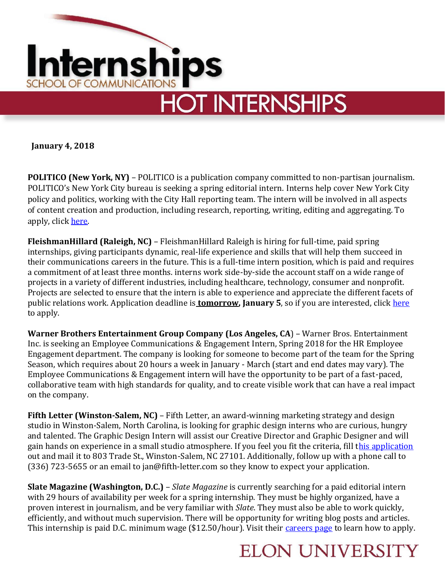

**January 4, 2018**

**POLITICO (New York, NY)** – POLITICO is a publication company committed to non-partisan journalism. POLITICO's New York City bureau is seeking a spring editorial intern. Interns help cover New York City policy and politics, working with the City Hall reporting team. The intern will be involved in all aspects of content creation and production, including research, reporting, writing, editing and aggregating. To apply, click [here.](https://www.startwire.com/jobs/new-york-ny/spring-editorial-intern-new-york-city-bureau-35516609?source=LI)

**FleishmanHillard (Raleigh, NC)** – FleishmanHillard Raleigh is hiring for full-time, paid spring internships, giving participants dynamic, real-life experience and skills that will help them succeed in their communications careers in the future. This is a full-time intern position, which is paid and requires a commitment of at least three months. interns work side-by-side the account staff on a wide range of projects in a variety of different industries, including healthcare, technology, consumer and nonprofit. Projects are selected to ensure that the intern is able to experience and appreciate the different facets of public relations work. Application deadline is **tomorrow, January 5**, so if you are interested, click [here](https://chp.tbe.taleo.net/chp03/ats/careers/requisition.jsp?org=FLEISHMAN&cws=1&rid=3045) to apply.

**Warner Brothers Entertainment Group Company (Los Angeles, CA**) – Warner Bros. Entertainment Inc. is seeking an Employee Communications & Engagement Intern, Spring 2018 for the HR Employee Engagement department. The company is looking for someone to become part of the team for the Spring Season, which requires about 20 hours a week in January - March (start and end dates may vary). The Employee Communications & Engagement intern will have the opportunity to be part of a fast-paced, collaborative team with high standards for quality, and to create visible work that can have a real impact on the company.

**Fifth Letter (Winston-Salem, NC)** – Fifth Letter, an award-winning marketing strategy and design studio in Winston-Salem, North Carolina, is looking for graphic design interns who are curious, hungry and talented. The Graphic Design Intern will assist our Creative Director and Graphic Designer and will gain hands on experience in a small studio atmosphere. If you feel you fit the criteria, fill [this application](../Desktop/fl_intern_app_2016.pdf) out and mail it to 803 Trade St., Winston-Salem, NC 27101. Additionally, follow up with a phone call to (336) 723-5655 or an email to jan@fifth-letter.com so they know to expect your application.

**Slate Magazine (Washington, D.C.)** – *Slate Magazine* is currently searching for a paid editorial intern with 29 hours of availability per week for a spring internship. They must be highly organized, have a proven interest in journalism, and be very familiar with *Slate*. They must also be able to work quickly, efficiently, and without much supervision. There will be opportunity for writing blog posts and articles. This internship is paid D.C. minimum wage (\$12.50/hour). Visit their [careers page](http://www.slate.com/articles/news_and_politics/slate_fare/2008/04/a_job_for_you_at_slate.html#accordion-dc-internship) to learn how to apply.

## **ELON UNIVERSITY**